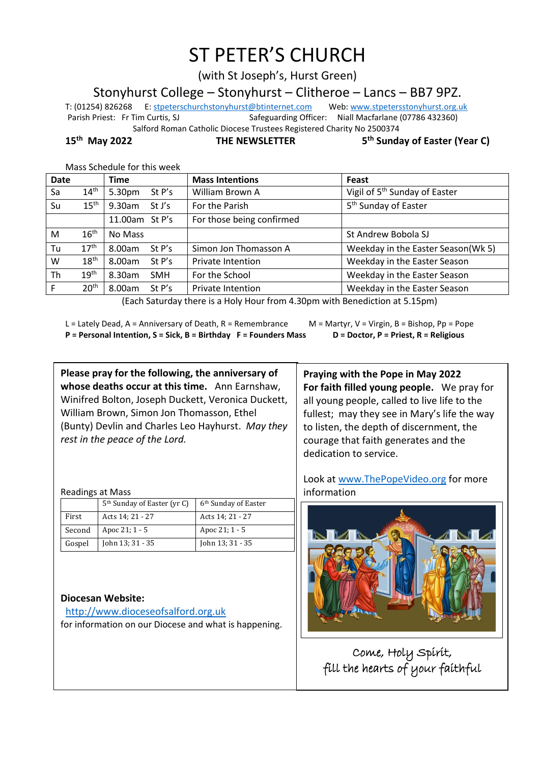# ST PETER'S CHURCH

(with St Joseph's, Hurst Green)

Stonyhurst College – Stonyhurst – Clitheroe – Lancs – BB7 9PZ.

T: (01254) 826268 E[: stpeterschurchstonyhurst@btinternet.com](mailto:stpeterschurchstonyhurst@btinternet.com) Web[: www.stpetersstonyhurst.org.uk](http://www.stpetersstonyhurst.org.uk/) Parish Priest: Fr Tim Curtis, SJ Safeguarding Officer: Niall Macfarlane (07786 432360) Salford Roman Catholic Diocese Trustees Registered Charity No 2500374

**15th May 2022 THE NEWSLETTER 5**

**th Sunday of Easter (Year C)**

| Date      |                                                                             | <b>Time</b>    |            | <b>Mass Intentions</b>    | Feast                                     |  |  |
|-----------|-----------------------------------------------------------------------------|----------------|------------|---------------------------|-------------------------------------------|--|--|
| Sa        | $14^{\text{th}}$                                                            | 5.30pm         | St P's     | William Brown A           | Vigil of 5 <sup>th</sup> Sunday of Easter |  |  |
| Su        | $15^{\text{th}}$                                                            | 9.30am         | St J's     | For the Parish            | 5 <sup>th</sup> Sunday of Easter          |  |  |
|           |                                                                             | 11.00am St P's |            | For those being confirmed |                                           |  |  |
| M         | 16 <sup>th</sup>                                                            | No Mass        |            |                           | St Andrew Bobola SJ                       |  |  |
| Tu        | 17 <sup>th</sup>                                                            | 8.00am         | St P's     | Simon Jon Thomasson A     | Weekday in the Easter Season(Wk 5)        |  |  |
| W         | 18 <sup>th</sup>                                                            | 8.00am         | St P's     | Private Intention         | Weekday in the Easter Season              |  |  |
| <b>Th</b> | 19 <sup>th</sup>                                                            | 8.30am         | <b>SMH</b> | For the School            | Weekday in the Easter Season              |  |  |
| F         | 20 <sup>th</sup>                                                            | 8.00am         | St P's     | <b>Private Intention</b>  | Weekday in the Easter Season              |  |  |
|           | (Each Saturday there is a Holy Hour from 4.30pm with Repediction at 5.15pm) |                |            |                           |                                           |  |  |

Mass Schedule for this week

(Each Saturday there is a Holy Hour from 4.30pm with Benediction at 5.15pm)

L = Lately Dead, A = Anniversary of Death, R = Remembrance M = Martyr, V = Virgin, B = Bishop, Pp = Pope

**P = Personal Intention, S = Sick, B = Birthday F = Founders Mass D = Doctor, P = Priest, R = Religious**

**Please pray for the following, the anniversary of whose deaths occur at this time.** Ann Earnshaw, Winifred Bolton, Joseph Duckett, Veronica Duckett, William Brown, Simon Jon Thomasson, Ethel (Bunty) Devlin and Charles Leo Hayhurst. *May they rest in the peace of the Lord.*

Readings at Mass

|        | 5 <sup>th</sup> Sunday of Easter (yr C) | 6 <sup>th</sup> Sunday of Easter |
|--------|-----------------------------------------|----------------------------------|
| First  | Acts 14; 21 - 27                        | Acts 14; 21 - 27                 |
| Second | Apoc 21; 1 - 5                          | Apoc 21; 1 - 5                   |
| Gospel | John 13; 31 - 35                        | John 13; 31 - 35                 |

#### **Diocesan Website:**

http://www.dioceseofsalford.org.uk for information on our Diocese and what is happening.

**Praying with the Pope in May 2022 For faith filled young people.** We pray for all young people, called to live life to the fullest; may they see in Mary's life the way to listen, the depth of discernment, the courage that faith generates and the dedication to service.

Look at www.ThePopeVideo.org for more information



Come, Holy Spirit, fill the hearts of your faithful

 $\overline{\phantom{a}}$